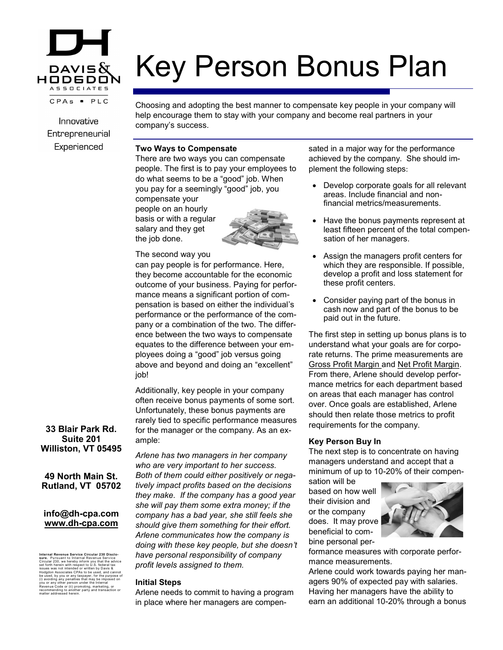

Innovative Entrepreneurial Experienced

# Key Person Bonus Plan

Choosing and adopting the best manner to compensate key people in your company will help encourage them to stay with your company and become real partners in your company's success.

## **Two Ways to Compensate**

There are two ways you can compensate people. The first is to pay your employees to do what seems to be a "good" job. When you pay for a seemingly "good" job, you compensate your people on an hourly basis or with a regular



## The second way you

salary and they get the job done.

can pay people is for performance. Here, they become accountable for the economic outcome of your business. Paying for performance means a significant portion of compensation is based on either the individual's performance or the performance of the company or a combination of the two. The difference between the two ways to compensate equates to the difference between your employees doing a "good" job versus going above and beyond and doing an "excellent" job!

Additionally, key people in your company often receive bonus payments of some sort. Unfortunately, these bonus payments are rarely tied to specific performance measures for the manager or the company. As an example:

*Arlene has two managers in her company who are very important to her success. Both of them could either positively or negatively impact profits based on the decisions they make. If the company has a good year she will pay them some extra money; if the company has a bad year, she still feels she should give them something for their effort. Arlene communicates how the company is doing with these key people, but she doesn't have personal responsibility of company profit levels assigned to them.*

#### **Initial Steps**

Arlene needs to commit to having a program in place where her managers are compensated in a major way for the performance achieved by the company. She should implement the following steps:

- Develop corporate goals for all relevant areas. Include financial and nonfinancial metrics/measurements.
- Have the bonus payments represent at least fifteen percent of the total compensation of her managers.
- Assign the managers profit centers for which they are responsible. If possible, develop a profit and loss statement for these profit centers.
- Consider paying part of the bonus in cash now and part of the bonus to be paid out in the future.

The first step in setting up bonus plans is to understand what your goals are for corporate returns. The prime measurements are Gross Profit Margin and Net Profit Margin. From there, Arlene should develop performance metrics for each department based on areas that each manager has control over. Once goals are established, Arlene should then relate those metrics to profit requirements for the company.

#### **Key Person Buy In**

The next step is to concentrate on having managers understand and accept that a minimum of up to 10-20% of their compen-

sation will be based on how well their division and or the company does. It may prove beneficial to combine personal per-



formance measures with corporate performance measurements.

Arlene could work towards paying her managers 90% of expected pay with salaries. Having her managers have the ability to earn an additional 10-20% through a bonus

# **33 Blair Park Rd. Suite 201 Williston, VT 05495**

**49 North Main St. Rutland, VT 05702**

## **info@dh-cpa.com www.dh-cpa.com**

Internal Revenue Service Circular 230 Disclo-<br>stare. Pursuant to Internal Revenue Service<br>stare. Pursuant to Internal Revenue Service<br>issues was not intended or written by Davis &<br>Hodgdon Associates CPAs to be used, and ca